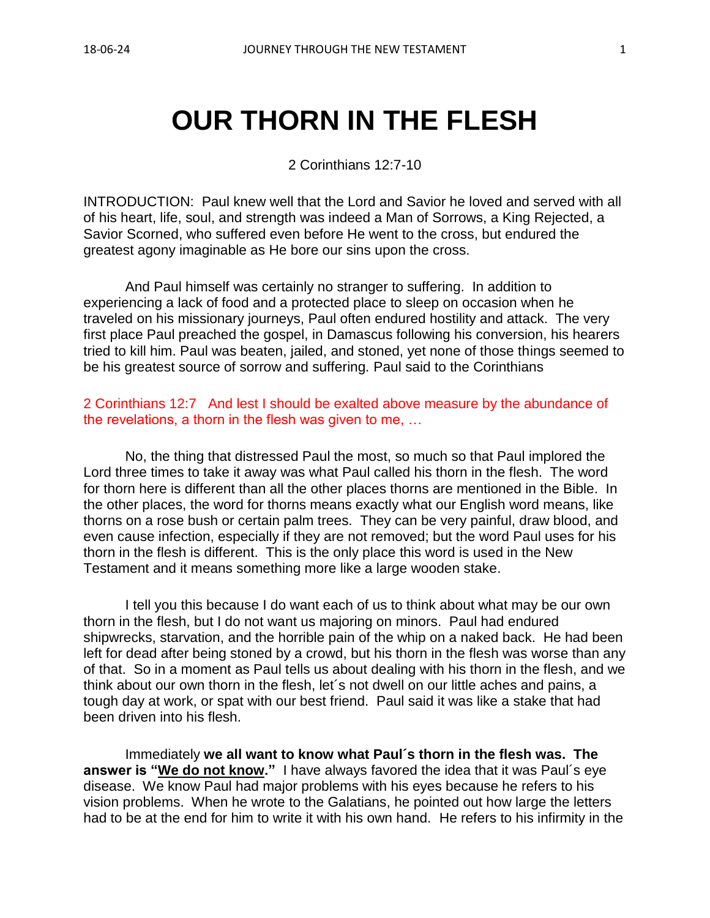# **OUR THORN IN THE FLESH**

2 Corinthians 12:7-10

INTRODUCTION: Paul knew well that the Lord and Savior he loved and served with all of his heart, life, soul, and strength was indeed a Man of Sorrows, a King Rejected, a Savior Scorned, who suffered even before He went to the cross, but endured the greatest agony imaginable as He bore our sins upon the cross.

And Paul himself was certainly no stranger to suffering. In addition to experiencing a lack of food and a protected place to sleep on occasion when he traveled on his missionary journeys, Paul often endured hostility and attack. The very first place Paul preached the gospel, in Damascus following his conversion, his hearers tried to kill him. Paul was beaten, jailed, and stoned, yet none of those things seemed to be his greatest source of sorrow and suffering. Paul said to the Corinthians

2 Corinthians 12:7 And lest I should be exalted above measure by the abundance of the revelations, a thorn in the flesh was given to me, …

No, the thing that distressed Paul the most, so much so that Paul implored the Lord three times to take it away was what Paul called his thorn in the flesh. The word for thorn here is different than all the other places thorns are mentioned in the Bible. In the other places, the word for thorns means exactly what our English word means, like thorns on a rose bush or certain palm trees. They can be very painful, draw blood, and even cause infection, especially if they are not removed; but the word Paul uses for his thorn in the flesh is different. This is the only place this word is used in the New Testament and it means something more like a large wooden stake.

I tell you this because I do want each of us to think about what may be our own thorn in the flesh, but I do not want us majoring on minors. Paul had endured shipwrecks, starvation, and the horrible pain of the whip on a naked back. He had been left for dead after being stoned by a crowd, but his thorn in the flesh was worse than any of that. So in a moment as Paul tells us about dealing with his thorn in the flesh, and we think about our own thorn in the flesh, let´s not dwell on our little aches and pains, a tough day at work, or spat with our best friend. Paul said it was like a stake that had been driven into his flesh.

Immediately **we all want to know what Paul´s thorn in the flesh was. The answer is "We do not know."** I have always favored the idea that it was Paul´s eye disease. We know Paul had major problems with his eyes because he refers to his vision problems. When he wrote to the Galatians, he pointed out how large the letters had to be at the end for him to write it with his own hand. He refers to his infirmity in the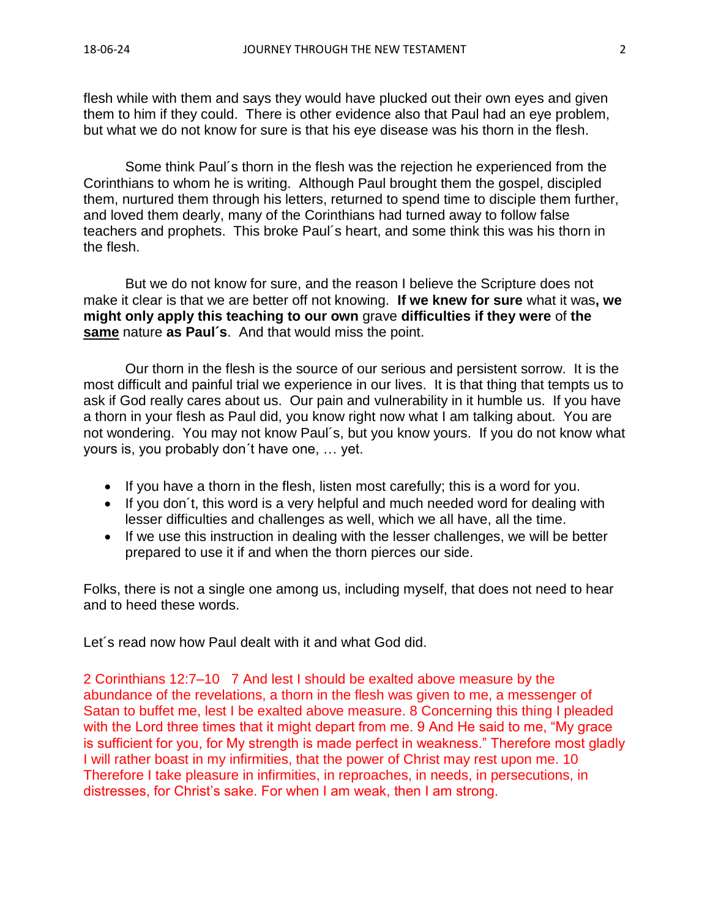flesh while with them and says they would have plucked out their own eyes and given them to him if they could. There is other evidence also that Paul had an eye problem, but what we do not know for sure is that his eye disease was his thorn in the flesh.

Some think Paul´s thorn in the flesh was the rejection he experienced from the Corinthians to whom he is writing. Although Paul brought them the gospel, discipled them, nurtured them through his letters, returned to spend time to disciple them further, and loved them dearly, many of the Corinthians had turned away to follow false teachers and prophets. This broke Paul´s heart, and some think this was his thorn in the flesh.

But we do not know for sure, and the reason I believe the Scripture does not make it clear is that we are better off not knowing. **If we knew for sure** what it was**, we might only apply this teaching to our own** grave **difficulties if they were** of **the same** nature **as Paul´s**. And that would miss the point.

Our thorn in the flesh is the source of our serious and persistent sorrow. It is the most difficult and painful trial we experience in our lives. It is that thing that tempts us to ask if God really cares about us. Our pain and vulnerability in it humble us. If you have a thorn in your flesh as Paul did, you know right now what I am talking about. You are not wondering. You may not know Paul´s, but you know yours. If you do not know what yours is, you probably don´t have one, … yet.

- If you have a thorn in the flesh, listen most carefully; this is a word for you.
- If you don´t, this word is a very helpful and much needed word for dealing with lesser difficulties and challenges as well, which we all have, all the time.
- If we use this instruction in dealing with the lesser challenges, we will be better prepared to use it if and when the thorn pierces our side.

Folks, there is not a single one among us, including myself, that does not need to hear and to heed these words.

Let´s read now how Paul dealt with it and what God did.

2 Corinthians 12:7–10 7 And lest I should be exalted above measure by the abundance of the revelations, a thorn in the flesh was given to me, a messenger of Satan to buffet me, lest I be exalted above measure. 8 Concerning this thing I pleaded with the Lord three times that it might depart from me. 9 And He said to me, "My grace is sufficient for you, for My strength is made perfect in weakness." Therefore most gladly I will rather boast in my infirmities, that the power of Christ may rest upon me. 10 Therefore I take pleasure in infirmities, in reproaches, in needs, in persecutions, in distresses, for Christ's sake. For when I am weak, then I am strong.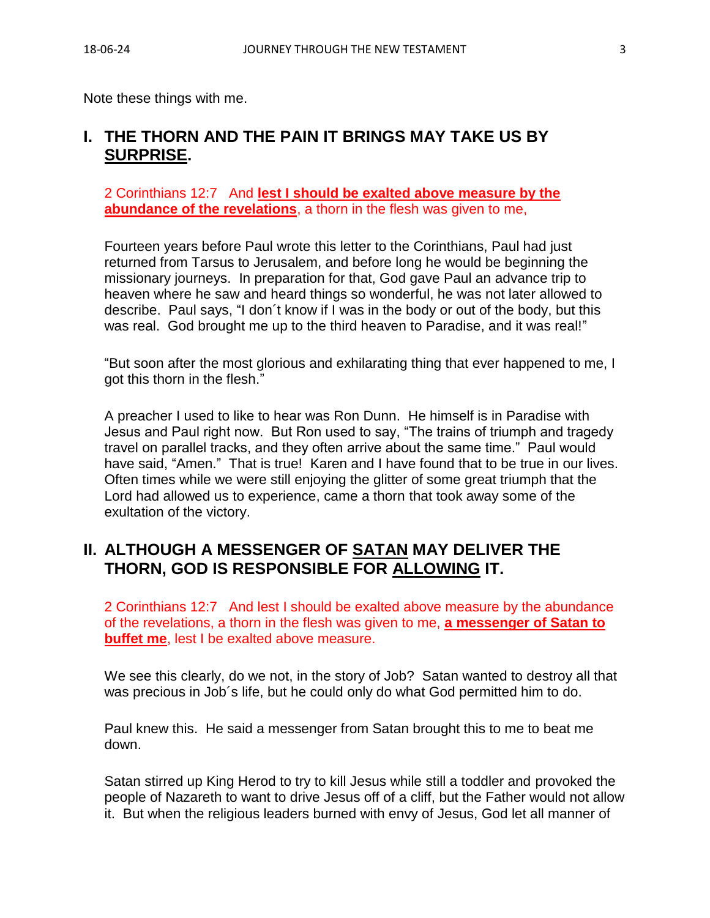Note these things with me.

# **I. THE THORN AND THE PAIN IT BRINGS MAY TAKE US BY SURPRISE.**

2 Corinthians 12:7 And **lest I should be exalted above measure by the abundance of the revelations**, a thorn in the flesh was given to me,

Fourteen years before Paul wrote this letter to the Corinthians, Paul had just returned from Tarsus to Jerusalem, and before long he would be beginning the missionary journeys. In preparation for that, God gave Paul an advance trip to heaven where he saw and heard things so wonderful, he was not later allowed to describe. Paul says, "I don´t know if I was in the body or out of the body, but this was real. God brought me up to the third heaven to Paradise, and it was real!"

"But soon after the most glorious and exhilarating thing that ever happened to me, I got this thorn in the flesh."

A preacher I used to like to hear was Ron Dunn. He himself is in Paradise with Jesus and Paul right now. But Ron used to say, "The trains of triumph and tragedy travel on parallel tracks, and they often arrive about the same time." Paul would have said, "Amen." That is true! Karen and I have found that to be true in our lives. Often times while we were still enjoying the glitter of some great triumph that the Lord had allowed us to experience, came a thorn that took away some of the exultation of the victory.

## **II. ALTHOUGH A MESSENGER OF SATAN MAY DELIVER THE THORN, GOD IS RESPONSIBLE FOR ALLOWING IT.**

2 Corinthians 12:7 And lest I should be exalted above measure by the abundance of the revelations, a thorn in the flesh was given to me, **a messenger of Satan to buffet me**, lest I be exalted above measure.

We see this clearly, do we not, in the story of Job? Satan wanted to destroy all that was precious in Job´s life, but he could only do what God permitted him to do.

Paul knew this. He said a messenger from Satan brought this to me to beat me down.

Satan stirred up King Herod to try to kill Jesus while still a toddler and provoked the people of Nazareth to want to drive Jesus off of a cliff, but the Father would not allow it. But when the religious leaders burned with envy of Jesus, God let all manner of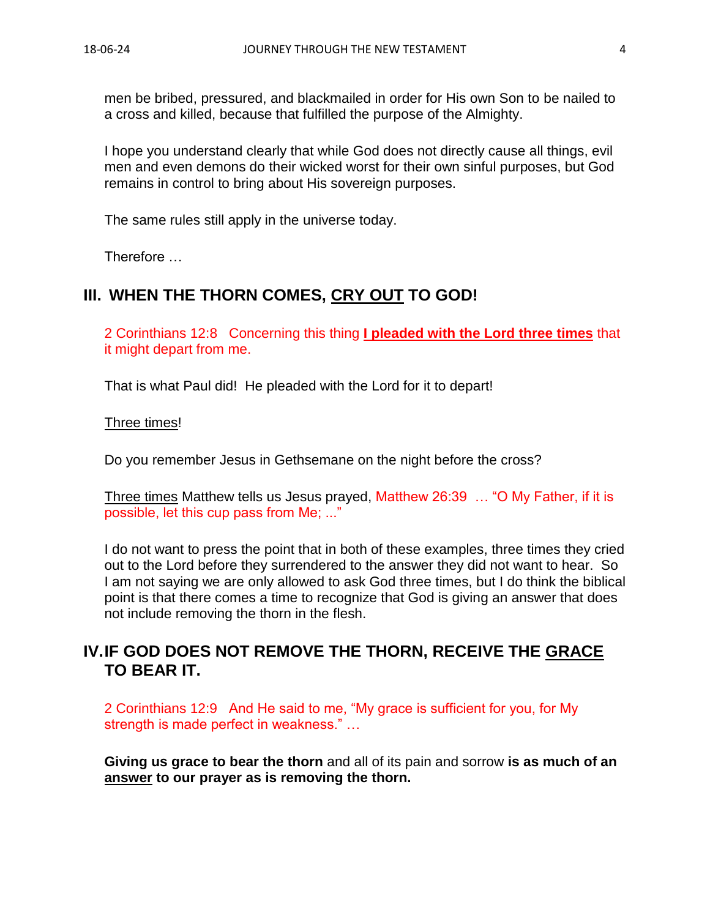men be bribed, pressured, and blackmailed in order for His own Son to be nailed to a cross and killed, because that fulfilled the purpose of the Almighty.

I hope you understand clearly that while God does not directly cause all things, evil men and even demons do their wicked worst for their own sinful purposes, but God remains in control to bring about His sovereign purposes.

The same rules still apply in the universe today.

Therefore …

### **III. WHEN THE THORN COMES, CRY OUT TO GOD!**

2 Corinthians 12:8 Concerning this thing **I pleaded with the Lord three times** that it might depart from me.

That is what Paul did! He pleaded with the Lord for it to depart!

Three times!

Do you remember Jesus in Gethsemane on the night before the cross?

Three times Matthew tells us Jesus prayed, Matthew 26:39 … "O My Father, if it is possible, let this cup pass from Me; ..."

I do not want to press the point that in both of these examples, three times they cried out to the Lord before they surrendered to the answer they did not want to hear. So I am not saying we are only allowed to ask God three times, but I do think the biblical point is that there comes a time to recognize that God is giving an answer that does not include removing the thorn in the flesh.

# **IV.IF GOD DOES NOT REMOVE THE THORN, RECEIVE THE GRACE TO BEAR IT.**

2 Corinthians 12:9 And He said to me, "My grace is sufficient for you, for My strength is made perfect in weakness." …

**Giving us grace to bear the thorn** and all of its pain and sorrow **is as much of an answer to our prayer as is removing the thorn.**